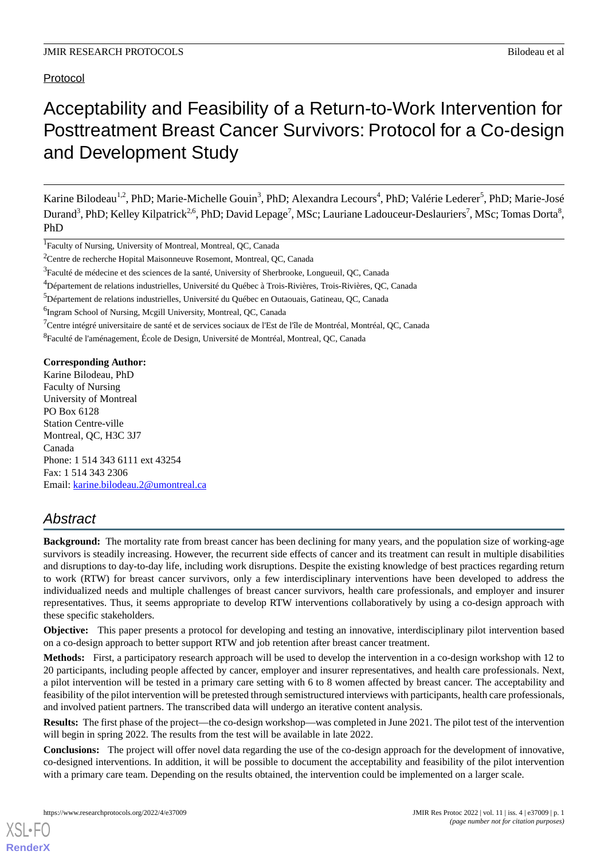Protocol

# Acceptability and Feasibility of a Return-to-Work Intervention for Posttreatment Breast Cancer Survivors: Protocol for a Co-design and Development Study

Karine Bilodeau<sup>1,2</sup>, PhD; Marie-Michelle Gouin<sup>3</sup>, PhD; Alexandra Lecours<sup>4</sup>, PhD; Valérie Lederer<sup>5</sup>, PhD; Marie-José Durand<sup>3</sup>, PhD; Kelley Kilpatrick<sup>2,6</sup>, PhD; David Lepage<sup>7</sup>, MSc; Lauriane Ladouceur-Deslauriers<sup>7</sup>, MSc; Tomas Dorta<sup>8</sup>, PhD

<sup>1</sup>Faculty of Nursing, University of Montreal, Montreal, QC, Canada

<sup>6</sup>Ingram School of Nursing, Mcgill University, Montreal, QC, Canada

 $7$ Centre intégré universitaire de santé et de services sociaux de l'Est de l'île de Montréal, Montréal, QC, Canada

<sup>8</sup>Faculté de l'aménagement, École de Design, Université de Montréal, Montreal, QC, Canada

#### **Corresponding Author:**

Karine Bilodeau, PhD Faculty of Nursing University of Montreal PO Box 6128 Station Centre-ville Montreal, QC, H3C 3J7 Canada Phone: 1 514 343 6111 ext 43254 Fax: 1 514 343 2306 Email: [karine.bilodeau.2@umontreal.ca](mailto:karine.bilodeau.2@umontreal.ca)

# *Abstract*

**Background:** The mortality rate from breast cancer has been declining for many years, and the population size of working-age survivors is steadily increasing. However, the recurrent side effects of cancer and its treatment can result in multiple disabilities and disruptions to day-to-day life, including work disruptions. Despite the existing knowledge of best practices regarding return to work (RTW) for breast cancer survivors, only a few interdisciplinary interventions have been developed to address the individualized needs and multiple challenges of breast cancer survivors, health care professionals, and employer and insurer representatives. Thus, it seems appropriate to develop RTW interventions collaboratively by using a co-design approach with these specific stakeholders.

**Objective:** This paper presents a protocol for developing and testing an innovative, interdisciplinary pilot intervention based on a co-design approach to better support RTW and job retention after breast cancer treatment.

**Methods:** First, a participatory research approach will be used to develop the intervention in a co-design workshop with 12 to 20 participants, including people affected by cancer, employer and insurer representatives, and health care professionals. Next, a pilot intervention will be tested in a primary care setting with 6 to 8 women affected by breast cancer. The acceptability and feasibility of the pilot intervention will be pretested through semistructured interviews with participants, health care professionals, and involved patient partners. The transcribed data will undergo an iterative content analysis.

**Results:** The first phase of the project—the co-design workshop—was completed in June 2021. The pilot test of the intervention will begin in spring 2022. The results from the test will be available in late 2022.

**Conclusions:** The project will offer novel data regarding the use of the co-design approach for the development of innovative, co-designed interventions. In addition, it will be possible to document the acceptability and feasibility of the pilot intervention with a primary care team. Depending on the results obtained, the intervention could be implemented on a larger scale.

<sup>&</sup>lt;sup>2</sup>Centre de recherche Hopital Maisonneuve Rosemont, Montreal, QC, Canada

<sup>&</sup>lt;sup>3</sup>Faculté de médecine et des sciences de la santé, University of Sherbrooke, Longueuil, QC, Canada

<sup>4</sup>Département de relations industrielles, Université du Québec à Trois-Rivières, Trois-Rivières, QC, Canada

<sup>5</sup>Département de relations industrielles, Université du Québec en Outaouais, Gatineau, QC, Canada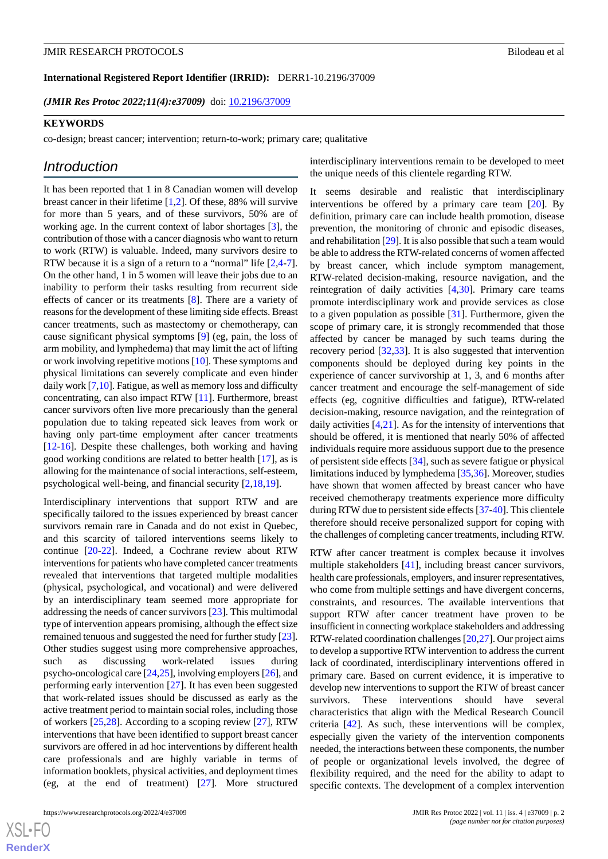*(JMIR Res Protoc 2022;11(4):e37009)* doi: [10.2196/37009](http://dx.doi.org/10.2196/37009)

#### **KEYWORDS**

co-design; breast cancer; intervention; return-to-work; primary care; qualitative

# *Introduction*

It has been reported that 1 in 8 Canadian women will develop breast cancer in their lifetime [[1](#page-8-0)[,2](#page-8-1)]. Of these, 88% will survive for more than 5 years, and of these survivors, 50% are of working age. In the current context of labor shortages [[3\]](#page-8-2), the contribution of those with a cancer diagnosis who want to return to work (RTW) is valuable. Indeed, many survivors desire to RTW because it is a sign of a return to a "normal" life [[2](#page-8-1)[,4-](#page-8-3)[7\]](#page-9-0). On the other hand, 1 in 5 women will leave their jobs due to an inability to perform their tasks resulting from recurrent side effects of cancer or its treatments [\[8](#page-9-1)]. There are a variety of reasons for the development of these limiting side effects. Breast cancer treatments, such as mastectomy or chemotherapy, can cause significant physical symptoms [[9\]](#page-9-2) (eg, pain, the loss of arm mobility, and lymphedema) that may limit the act of lifting or work involving repetitive motions [[10\]](#page-9-3). These symptoms and physical limitations can severely complicate and even hinder daily work [[7](#page-9-0),[10\]](#page-9-3). Fatigue, as well as memory loss and difficulty concentrating, can also impact RTW [\[11](#page-9-4)]. Furthermore, breast cancer survivors often live more precariously than the general population due to taking repeated sick leaves from work or having only part-time employment after cancer treatments [[12](#page-9-5)[-16](#page-9-6)]. Despite these challenges, both working and having good working conditions are related to better health [[17\]](#page-9-7), as is allowing for the maintenance of social interactions, self-esteem, psychological well-being, and financial security [\[2](#page-8-1),[18,](#page-9-8)[19](#page-9-9)].

Interdisciplinary interventions that support RTW and are specifically tailored to the issues experienced by breast cancer survivors remain rare in Canada and do not exist in Quebec, and this scarcity of tailored interventions seems likely to continue [[20](#page-9-10)[-22](#page-9-11)]. Indeed, a Cochrane review about RTW interventions for patients who have completed cancer treatments revealed that interventions that targeted multiple modalities (physical, psychological, and vocational) and were delivered by an interdisciplinary team seemed more appropriate for addressing the needs of cancer survivors [[23\]](#page-9-12). This multimodal type of intervention appears promising, although the effect size remained tenuous and suggested the need for further study [[23\]](#page-9-12). Other studies suggest using more comprehensive approaches, such as discussing work-related issues during psycho-oncological care [[24](#page-9-13)[,25](#page-9-14)], involving employers [[26\]](#page-9-15), and performing early intervention [[27\]](#page-9-16). It has even been suggested that work-related issues should be discussed as early as the active treatment period to maintain social roles, including those of workers [[25,](#page-9-14)[28](#page-10-0)]. According to a scoping review [[27\]](#page-9-16), RTW interventions that have been identified to support breast cancer survivors are offered in ad hoc interventions by different health care professionals and are highly variable in terms of information booklets, physical activities, and deployment times (eg, at the end of treatment) [[27\]](#page-9-16). More structured

interdisciplinary interventions remain to be developed to meet the unique needs of this clientele regarding RTW.

It seems desirable and realistic that interdisciplinary interventions be offered by a primary care team [\[20](#page-9-10)]. By definition, primary care can include health promotion, disease prevention, the monitoring of chronic and episodic diseases, and rehabilitation [[29\]](#page-10-1). It is also possible that such a team would be able to address the RTW-related concerns of women affected by breast cancer, which include symptom management, RTW-related decision-making, resource navigation, and the reintegration of daily activities [\[4](#page-8-3),[30\]](#page-10-2). Primary care teams promote interdisciplinary work and provide services as close to a given population as possible [[31\]](#page-10-3). Furthermore, given the scope of primary care, it is strongly recommended that those affected by cancer be managed by such teams during the recovery period [[32,](#page-10-4)[33](#page-10-5)]. It is also suggested that intervention components should be deployed during key points in the experience of cancer survivorship at 1, 3, and 6 months after cancer treatment and encourage the self-management of side effects (eg, cognitive difficulties and fatigue), RTW-related decision-making, resource navigation, and the reintegration of daily activities [[4,](#page-8-3)[21](#page-9-17)]. As for the intensity of interventions that should be offered, it is mentioned that nearly 50% of affected individuals require more assiduous support due to the presence of persistent side effects [\[34](#page-10-6)], such as severe fatigue or physical limitations induced by lymphedema [\[35](#page-10-7),[36\]](#page-10-8). Moreover, studies have shown that women affected by breast cancer who have received chemotherapy treatments experience more difficulty during RTW due to persistent side effects [\[37](#page-10-9)[-40](#page-10-10)]. This clientele therefore should receive personalized support for coping with the challenges of completing cancer treatments, including RTW.

RTW after cancer treatment is complex because it involves multiple stakeholders [[41\]](#page-10-11), including breast cancer survivors, health care professionals, employers, and insurer representatives, who come from multiple settings and have divergent concerns, constraints, and resources. The available interventions that support RTW after cancer treatment have proven to be insufficient in connecting workplace stakeholders and addressing RTW-related coordination challenges [[20,](#page-9-10)[27](#page-9-16)]. Our project aims to develop a supportive RTW intervention to address the current lack of coordinated, interdisciplinary interventions offered in primary care. Based on current evidence, it is imperative to develop new interventions to support the RTW of breast cancer survivors. These interventions should have several characteristics that align with the Medical Research Council criteria [[42\]](#page-10-12). As such, these interventions will be complex, especially given the variety of the intervention components needed, the interactions between these components, the number of people or organizational levels involved, the degree of flexibility required, and the need for the ability to adapt to specific contexts. The development of a complex intervention

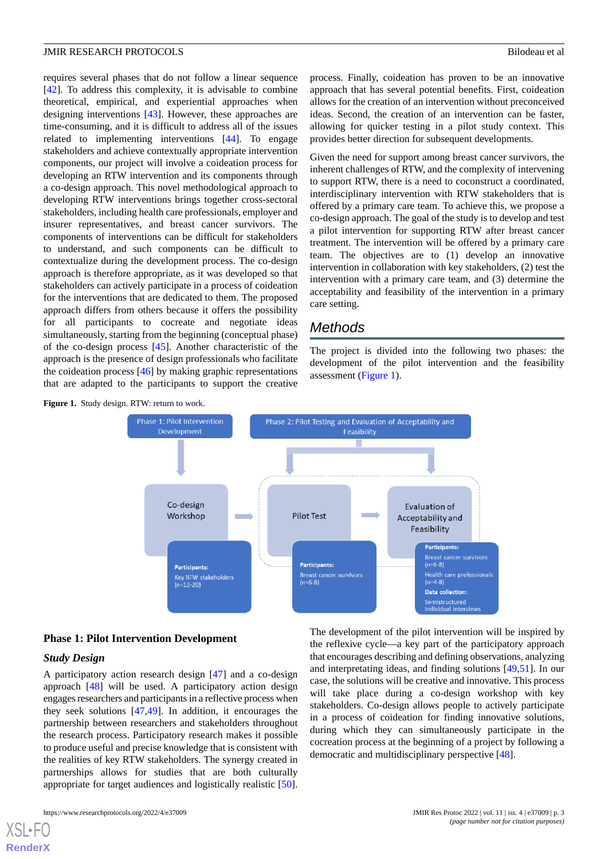requires several phases that do not follow a linear sequence [[42\]](#page-10-12). To address this complexity, it is advisable to combine theoretical, empirical, and experiential approaches when designing interventions [\[43](#page-10-13)]. However, these approaches are time-consuming, and it is difficult to address all of the issues related to implementing interventions [[44\]](#page-10-14). To engage stakeholders and achieve contextually appropriate intervention components, our project will involve a coideation process for developing an RTW intervention and its components through a co-design approach. This novel methodological approach to developing RTW interventions brings together cross-sectoral stakeholders, including health care professionals, employer and insurer representatives, and breast cancer survivors. The components of interventions can be difficult for stakeholders to understand, and such components can be difficult to contextualize during the development process. The co-design approach is therefore appropriate, as it was developed so that stakeholders can actively participate in a process of coideation for the interventions that are dedicated to them. The proposed approach differs from others because it offers the possibility for all participants to cocreate and negotiate ideas simultaneously, starting from the beginning (conceptual phase) of the co-design process [\[45](#page-10-15)]. Another characteristic of the approach is the presence of design professionals who facilitate the coideation process [[46\]](#page-10-16) by making graphic representations that are adapted to the participants to support the creative

<span id="page-2-0"></span>**Figure 1.** Study design. RTW: return to work.

process. Finally, coideation has proven to be an innovative approach that has several potential benefits. First, coideation allows for the creation of an intervention without preconceived ideas. Second, the creation of an intervention can be faster, allowing for quicker testing in a pilot study context. This provides better direction for subsequent developments.

Given the need for support among breast cancer survivors, the inherent challenges of RTW, and the complexity of intervening to support RTW, there is a need to coconstruct a coordinated, interdisciplinary intervention with RTW stakeholders that is offered by a primary care team. To achieve this, we propose a co-design approach. The goal of the study is to develop and test a pilot intervention for supporting RTW after breast cancer treatment. The intervention will be offered by a primary care team. The objectives are to (1) develop an innovative intervention in collaboration with key stakeholders, (2) test the intervention with a primary care team, and (3) determine the acceptability and feasibility of the intervention in a primary care setting.

# *Methods*

The project is divided into the following two phases: the development of the pilot intervention and the feasibility assessment ([Figure 1\)](#page-2-0).



# **Phase 1: Pilot Intervention Development**

# *Study Design*

[XSL](http://www.w3.org/Style/XSL)•FO **[RenderX](http://www.renderx.com/)**

A participatory action research design [\[47](#page-10-17)] and a co-design approach [[48\]](#page-10-18) will be used. A participatory action design engages researchers and participants in a reflective process when they seek solutions [[47](#page-10-17)[,49](#page-10-19)]. In addition, it encourages the partnership between researchers and stakeholders throughout the research process. Participatory research makes it possible to produce useful and precise knowledge that is consistent with the realities of key RTW stakeholders. The synergy created in partnerships allows for studies that are both culturally appropriate for target audiences and logistically realistic [[50\]](#page-10-20).

The development of the pilot intervention will be inspired by the reflexive cycle—a key part of the participatory approach that encourages describing and defining observations, analyzing and interpretating ideas, and finding solutions [\[49](#page-10-19),[51\]](#page-11-0). In our case, the solutions will be creative and innovative. This process will take place during a co-design workshop with key stakeholders. Co-design allows people to actively participate in a process of coideation for finding innovative solutions, during which they can simultaneously participate in the cocreation process at the beginning of a project by following a democratic and multidisciplinary perspective [\[48](#page-10-18)].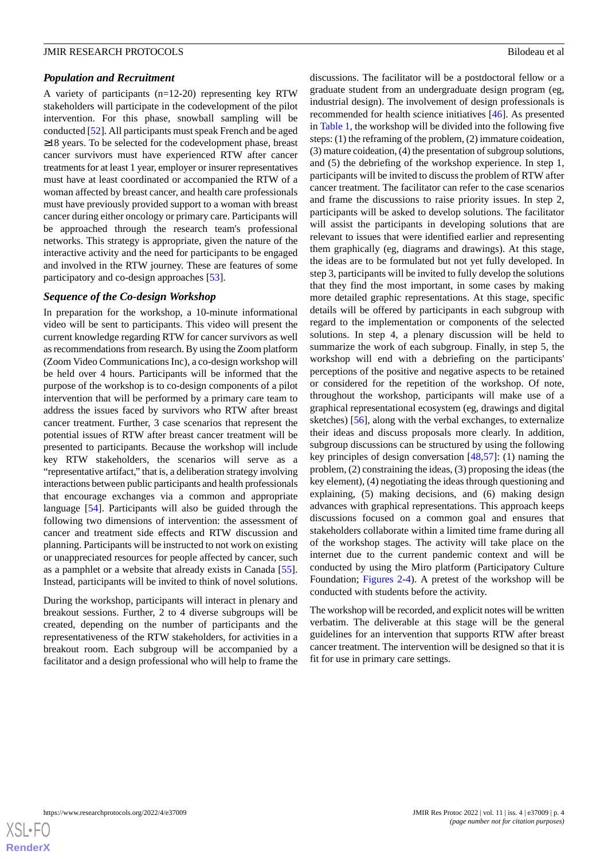#### *Population and Recruitment*

A variety of participants (n=12-20) representing key RTW stakeholders will participate in the codevelopment of the pilot intervention. For this phase, snowball sampling will be conducted [[52\]](#page-11-1). All participants must speak French and be aged ≥18 years. To be selected for the codevelopment phase, breast cancer survivors must have experienced RTW after cancer treatments for at least 1 year, employer or insurer representatives must have at least coordinated or accompanied the RTW of a woman affected by breast cancer, and health care professionals must have previously provided support to a woman with breast cancer during either oncology or primary care. Participants will be approached through the research team's professional networks. This strategy is appropriate, given the nature of the interactive activity and the need for participants to be engaged and involved in the RTW journey. These are features of some participatory and co-design approaches [\[53](#page-11-2)].

#### *Sequence of the Co-design Workshop*

In preparation for the workshop, a 10-minute informational video will be sent to participants. This video will present the current knowledge regarding RTW for cancer survivors as well as recommendations from research. By using the Zoom platform (Zoom Video Communications Inc), a co-design workshop will be held over 4 hours. Participants will be informed that the purpose of the workshop is to co-design components of a pilot intervention that will be performed by a primary care team to address the issues faced by survivors who RTW after breast cancer treatment. Further, 3 case scenarios that represent the potential issues of RTW after breast cancer treatment will be presented to participants. Because the workshop will include key RTW stakeholders, the scenarios will serve as a "representative artifact," that is, a deliberation strategy involving interactions between public participants and health professionals that encourage exchanges via a common and appropriate language [\[54](#page-11-3)]. Participants will also be guided through the following two dimensions of intervention: the assessment of cancer and treatment side effects and RTW discussion and planning. Participants will be instructed to not work on existing or unappreciated resources for people affected by cancer, such as a pamphlet or a website that already exists in Canada [[55\]](#page-11-4). Instead, participants will be invited to think of novel solutions.

During the workshop, participants will interact in plenary and breakout sessions. Further, 2 to 4 diverse subgroups will be created, depending on the number of participants and the representativeness of the RTW stakeholders, for activities in a breakout room. Each subgroup will be accompanied by a facilitator and a design professional who will help to frame the discussions. The facilitator will be a postdoctoral fellow or a graduate student from an undergraduate design program (eg, industrial design). The involvement of design professionals is recommended for health science initiatives [[46\]](#page-10-16). As presented in [Table 1,](#page-4-0) the workshop will be divided into the following five steps: (1) the reframing of the problem, (2) immature coideation, (3) mature coideation, (4) the presentation of subgroup solutions, and (5) the debriefing of the workshop experience. In step 1, participants will be invited to discuss the problem of RTW after cancer treatment. The facilitator can refer to the case scenarios and frame the discussions to raise priority issues. In step 2, participants will be asked to develop solutions. The facilitator will assist the participants in developing solutions that are relevant to issues that were identified earlier and representing them graphically (eg, diagrams and drawings). At this stage, the ideas are to be formulated but not yet fully developed. In step 3, participants will be invited to fully develop the solutions that they find the most important, in some cases by making more detailed graphic representations. At this stage, specific details will be offered by participants in each subgroup with regard to the implementation or components of the selected solutions. In step 4, a plenary discussion will be held to summarize the work of each subgroup. Finally, in step 5, the workshop will end with a debriefing on the participants' perceptions of the positive and negative aspects to be retained or considered for the repetition of the workshop. Of note, throughout the workshop, participants will make use of a graphical representational ecosystem (eg, drawings and digital sketches) [[56\]](#page-11-5), along with the verbal exchanges, to externalize their ideas and discuss proposals more clearly. In addition, subgroup discussions can be structured by using the following key principles of design conversation [\[48](#page-10-18),[57\]](#page-11-6): (1) naming the problem, (2) constraining the ideas, (3) proposing the ideas (the key element), (4) negotiating the ideas through questioning and explaining, (5) making decisions, and (6) making design advances with graphical representations. This approach keeps discussions focused on a common goal and ensures that stakeholders collaborate within a limited time frame during all of the workshop stages. The activity will take place on the internet due to the current pandemic context and will be conducted by using the Miro platform (Participatory Culture Foundation; [Figures 2](#page-5-0)-[4](#page-6-0)). A pretest of the workshop will be conducted with students before the activity.

The workshop will be recorded, and explicit notes will be written verbatim. The deliverable at this stage will be the general guidelines for an intervention that supports RTW after breast cancer treatment. The intervention will be designed so that it is fit for use in primary care settings.

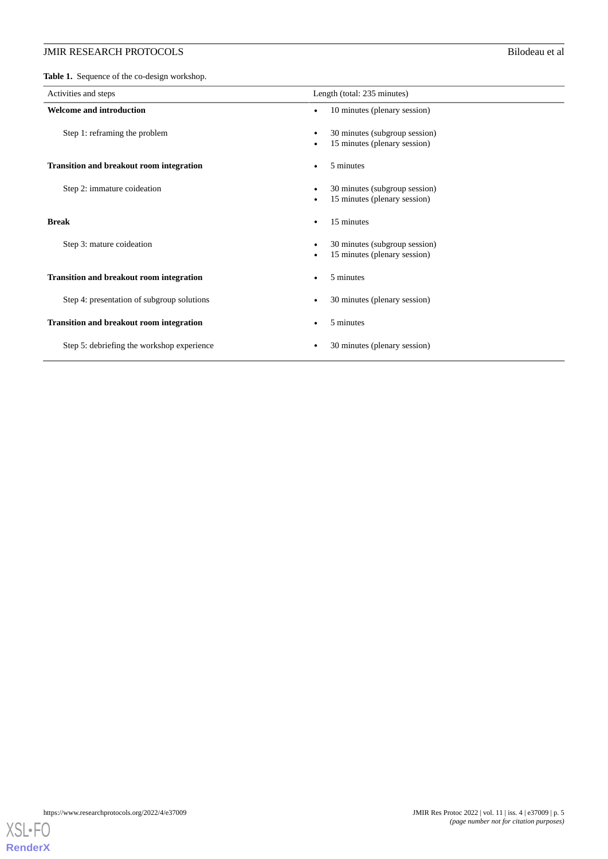<span id="page-4-0"></span>**Table 1.** Sequence of the co-design workshop.

| Activities and steps                            | Length (total: 235 minutes)                                   |
|-------------------------------------------------|---------------------------------------------------------------|
| <b>Welcome and introduction</b>                 | 10 minutes (plenary session)                                  |
| Step 1: reframing the problem                   | 30 minutes (subgroup session)<br>15 minutes (plenary session) |
| <b>Transition and breakout room integration</b> | 5 minutes                                                     |
| Step 2: immature coideation                     | 30 minutes (subgroup session)<br>15 minutes (plenary session) |
| <b>Break</b>                                    | 15 minutes                                                    |
| Step 3: mature coideation                       | 30 minutes (subgroup session)<br>15 minutes (plenary session) |
| <b>Transition and breakout room integration</b> | 5 minutes                                                     |
| Step 4: presentation of subgroup solutions      | 30 minutes (plenary session)                                  |
| <b>Transition and breakout room integration</b> | 5 minutes                                                     |
| Step 5: debriefing the workshop experience      | 30 minutes (plenary session)                                  |

**[RenderX](http://www.renderx.com/)**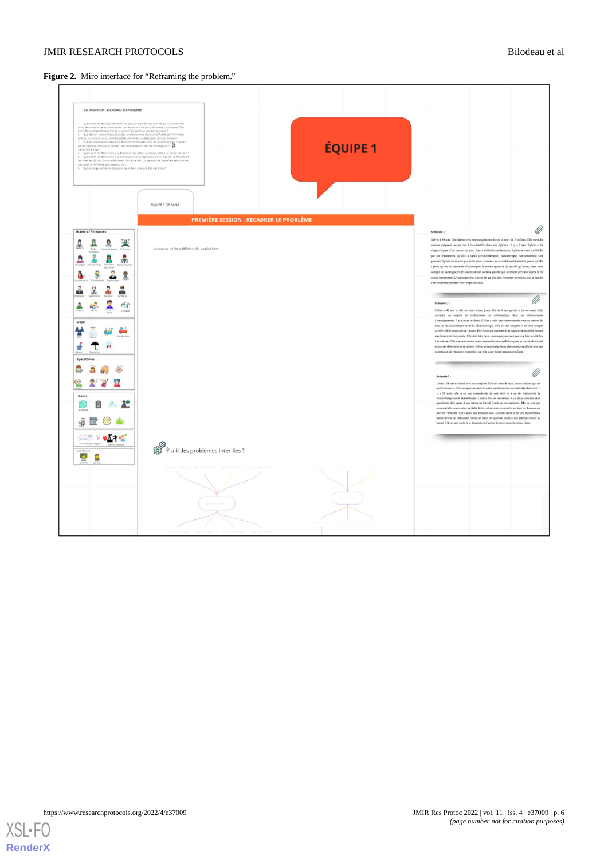<span id="page-5-0"></span>Figure 2. Miro interface for "Reframing the problem."

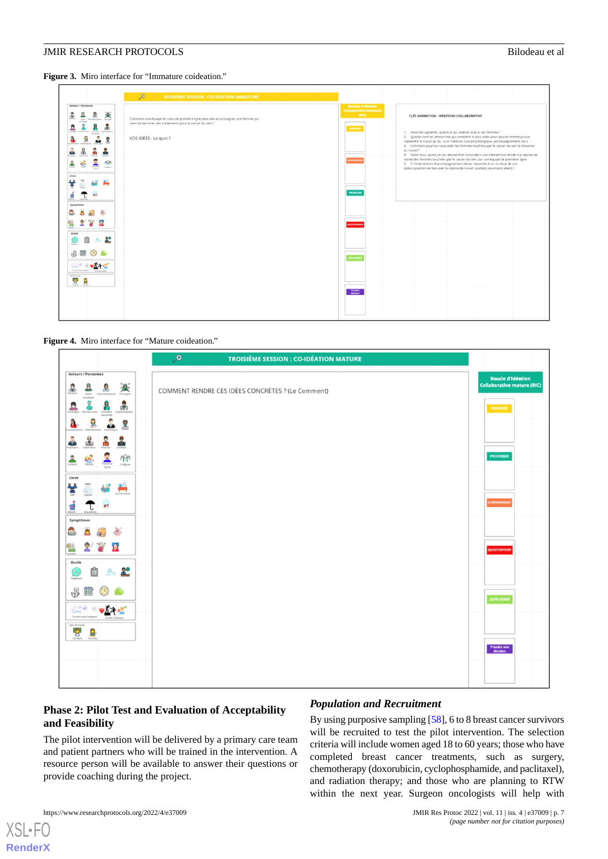**Figure 3.** Miro interface for "Immature coideation."

| $\mathcal{P}$<br><b>DEUXIÈME SESSION : CO-IDÉATION IMMATURE</b>                                                                                                                                                                                                                                                                                                                                                                                                                                                          |                                                                                                                                                                                                                                                                                                                                                                                                                                                                                                                                                                                                                                                                                                                                                                                                                                                                                                                                            |
|--------------------------------------------------------------------------------------------------------------------------------------------------------------------------------------------------------------------------------------------------------------------------------------------------------------------------------------------------------------------------------------------------------------------------------------------------------------------------------------------------------------------------|--------------------------------------------------------------------------------------------------------------------------------------------------------------------------------------------------------------------------------------------------------------------------------------------------------------------------------------------------------------------------------------------------------------------------------------------------------------------------------------------------------------------------------------------------------------------------------------------------------------------------------------------------------------------------------------------------------------------------------------------------------------------------------------------------------------------------------------------------------------------------------------------------------------------------------------------|
| Acteurs / Personnes<br>圖<br>S.<br>坐<br>Comment une équipe de soins de première ligne peut-elle accompagner une femme qui<br><b>Teda Physiological Octaber</b><br>vient de terminer des traitements pour le cancer du sein ?<br>÷<br>₫<br>д<br>Expiracyce<br>VOS IDÉES : Le quoi ?<br>9<br>٥<br>묾<br>å<br>潇<br>L<br>PPR<br>癌<br>≗<br>Estiques<br>Lieux<br>₩<br>ਡ<br><b>CO</b><br>٠<br>Symptomes<br>헼<br>Outils<br>2º<br>Total Avenue<br>唱<br>$\sqrt{2}$<br>يستر<br><b>Southern ground</b><br><b>Type de travel</b><br>분 호 | <b>Boucles d'idéation</b><br><b>Collaborative Immature</b><br><b>CBIC)</b><br>CLÉS ANIMATION : IDÉATIONS COLLABORATIVE<br>HOMMER<br>1. Selon les vignettes, qu'est-ce qui aiderait le plus ces femmes ?<br>2. Quelles sont les démarches qui semblent le plus utiles pour qu'une femme puisse<br>reprendre le travail (p. ex., suivi médical, suivi psychologique, accompagnement, etc.)<br>3. Comment pourriez-vous aider les femmes touchées par le cancer du sein à retourner<br>au travail ?<br>4. Selon vous, qu'est-ce qui devrait être inclus dans une intervention d'aide à la reprise de<br>travail des femmes touchées par le cancer du sein par une équipe de première ligne<br>PETRAINE<br>5. Si l'intervention d'accompagnement devait répondre à un ou deux de vos<br>préoccupations en lien avec la reprise de travail, quelle(s) serait(ent) elle(s) ?<br><b>PROPOSIA</b><br>UESTIONNER<br>EUPLIQUE<br>Franske<br>décision |

#### <span id="page-6-0"></span>**Figure 4.** Miro interface for "Mature coideation."



# **Phase 2: Pilot Test and Evaluation of Acceptability and Feasibility**

The pilot intervention will be delivered by a primary care team and patient partners who will be trained in the intervention. A resource person will be available to answer their questions or provide coaching during the project.

#### *Population and Recruitment*

By using purposive sampling [\[58](#page-11-7)], 6 to 8 breast cancer survivors will be recruited to test the pilot intervention. The selection criteria will include women aged 18 to 60 years; those who have completed breast cancer treatments, such as surgery, chemotherapy (doxorubicin, cyclophosphamide, and paclitaxel), and radiation therapy; and those who are planning to RTW within the next year. Surgeon oncologists will help with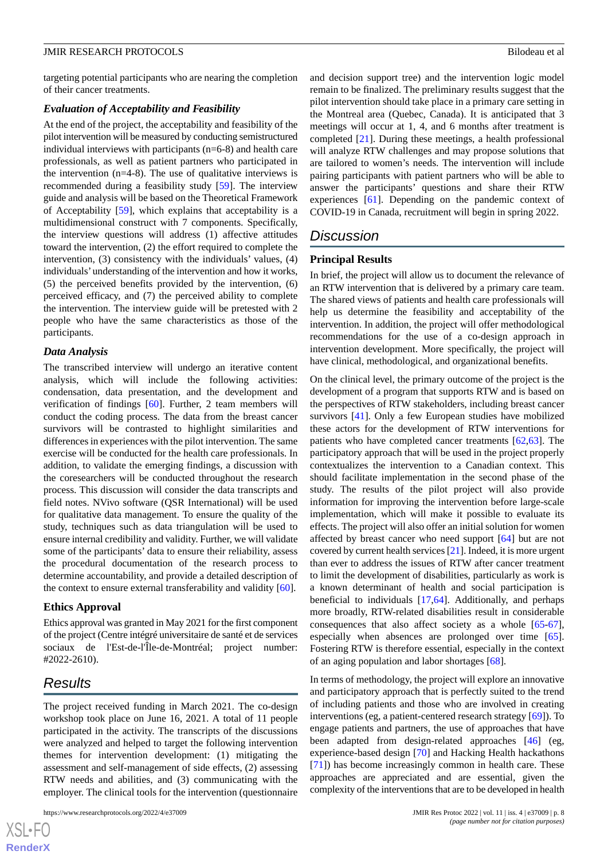targeting potential participants who are nearing the completion of their cancer treatments.

# *Evaluation of Acceptability and Feasibility*

At the end of the project, the acceptability and feasibility of the pilot intervention will be measured by conducting semistructured individual interviews with participants (n=6-8) and health care professionals, as well as patient partners who participated in the intervention (n=4-8). The use of qualitative interviews is recommended during a feasibility study [[59\]](#page-11-8). The interview guide and analysis will be based on the Theoretical Framework of Acceptability [\[59](#page-11-8)], which explains that acceptability is a multidimensional construct with 7 components. Specifically, the interview questions will address (1) affective attitudes toward the intervention, (2) the effort required to complete the intervention, (3) consistency with the individuals' values, (4) individuals'understanding of the intervention and how it works, (5) the perceived benefits provided by the intervention, (6) perceived efficacy, and (7) the perceived ability to complete the intervention. The interview guide will be pretested with 2 people who have the same characteristics as those of the participants.

#### *Data Analysis*

The transcribed interview will undergo an iterative content analysis, which will include the following activities: condensation, data presentation, and the development and verification of findings [[60\]](#page-11-9). Further, 2 team members will conduct the coding process. The data from the breast cancer survivors will be contrasted to highlight similarities and differences in experiences with the pilot intervention. The same exercise will be conducted for the health care professionals. In addition, to validate the emerging findings, a discussion with the coresearchers will be conducted throughout the research process. This discussion will consider the data transcripts and field notes. NVivo software (QSR International) will be used for qualitative data management. To ensure the quality of the study, techniques such as data triangulation will be used to ensure internal credibility and validity. Further, we will validate some of the participants' data to ensure their reliability, assess the procedural documentation of the research process to determine accountability, and provide a detailed description of the context to ensure external transferability and validity [\[60](#page-11-9)].

#### **Ethics Approval**

Ethics approval was granted in May 2021 for the first component of the project (Centre intégré universitaire de santé et de services sociaux de l'Est-de-l'Île-de-Montréal; project number: #2022-2610).

# *Results*

The project received funding in March 2021. The co-design workshop took place on June 16, 2021. A total of 11 people participated in the activity. The transcripts of the discussions were analyzed and helped to target the following intervention themes for intervention development: (1) mitigating the assessment and self-management of side effects, (2) assessing RTW needs and abilities, and (3) communicating with the employer. The clinical tools for the intervention (questionnaire

and decision support tree) and the intervention logic model remain to be finalized. The preliminary results suggest that the pilot intervention should take place in a primary care setting in the Montreal area (Quebec, Canada). It is anticipated that 3 meetings will occur at 1, 4, and 6 months after treatment is completed [[21\]](#page-9-17). During these meetings, a health professional will analyze RTW challenges and may propose solutions that are tailored to women's needs. The intervention will include pairing participants with patient partners who will be able to answer the participants' questions and share their RTW experiences [[61\]](#page-11-10). Depending on the pandemic context of COVID-19 in Canada, recruitment will begin in spring 2022.

# *Discussion*

#### **Principal Results**

In brief, the project will allow us to document the relevance of an RTW intervention that is delivered by a primary care team. The shared views of patients and health care professionals will help us determine the feasibility and acceptability of the intervention. In addition, the project will offer methodological recommendations for the use of a co-design approach in intervention development. More specifically, the project will have clinical, methodological, and organizational benefits.

On the clinical level, the primary outcome of the project is the development of a program that supports RTW and is based on the perspectives of RTW stakeholders, including breast cancer survivors [\[41](#page-10-11)]. Only a few European studies have mobilized these actors for the development of RTW interventions for patients who have completed cancer treatments [\[62](#page-11-11),[63\]](#page-11-12). The participatory approach that will be used in the project properly contextualizes the intervention to a Canadian context. This should facilitate implementation in the second phase of the study. The results of the pilot project will also provide information for improving the intervention before large-scale implementation, which will make it possible to evaluate its effects. The project will also offer an initial solution for women affected by breast cancer who need support [[64\]](#page-11-13) but are not covered by current health services [\[21\]](#page-9-17). Indeed, it is more urgent than ever to address the issues of RTW after cancer treatment to limit the development of disabilities, particularly as work is a known determinant of health and social participation is beneficial to individuals [\[17](#page-9-7),[64\]](#page-11-13). Additionally, and perhaps more broadly, RTW-related disabilities result in considerable consequences that also affect society as a whole [[65-](#page-11-14)[67\]](#page-11-15), especially when absences are prolonged over time [[65\]](#page-11-14). Fostering RTW is therefore essential, especially in the context of an aging population and labor shortages [[68\]](#page-11-16).

In terms of methodology, the project will explore an innovative and participatory approach that is perfectly suited to the trend of including patients and those who are involved in creating interventions (eg, a patient-centered research strategy [\[69](#page-11-17)]). To engage patients and partners, the use of approaches that have been adapted from design-related approaches [[46\]](#page-10-16) (eg, experience-based design [\[70](#page-11-18)] and Hacking Health hackathons [[71\]](#page-11-19)) has become increasingly common in health care. These approaches are appreciated and are essential, given the complexity of the interventions that are to be developed in health

 $XS$ -FO **[RenderX](http://www.renderx.com/)**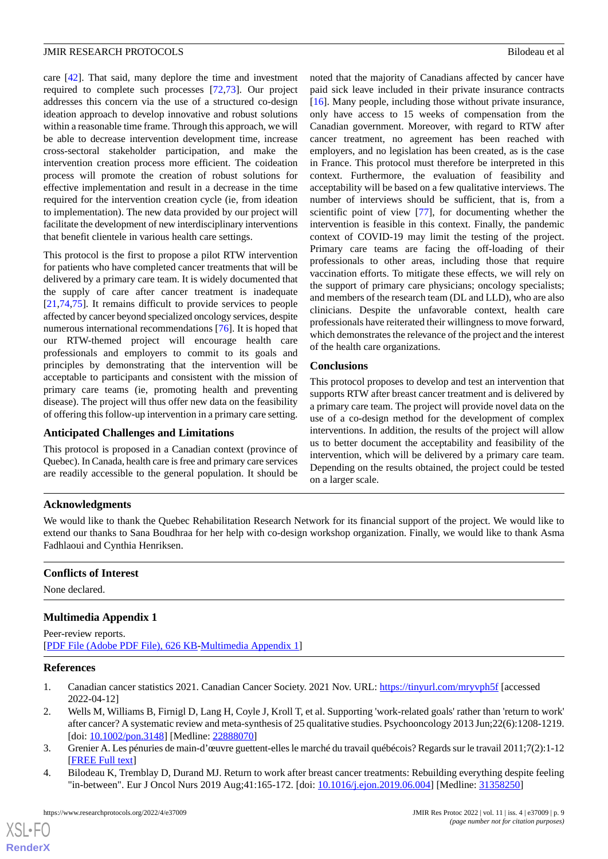care [[42\]](#page-10-12). That said, many deplore the time and investment required to complete such processes [[72,](#page-11-20)[73](#page-11-21)]. Our project addresses this concern via the use of a structured co-design ideation approach to develop innovative and robust solutions within a reasonable time frame. Through this approach, we will be able to decrease intervention development time, increase cross-sectoral stakeholder participation, and make the intervention creation process more efficient. The coideation process will promote the creation of robust solutions for effective implementation and result in a decrease in the time required for the intervention creation cycle (ie, from ideation to implementation). The new data provided by our project will facilitate the development of new interdisciplinary interventions that benefit clientele in various health care settings.

This protocol is the first to propose a pilot RTW intervention for patients who have completed cancer treatments that will be delivered by a primary care team. It is widely documented that the supply of care after cancer treatment is inadequate [[21](#page-9-17)[,74](#page-12-0),[75\]](#page-12-1). It remains difficult to provide services to people affected by cancer beyond specialized oncology services, despite numerous international recommendations [\[76](#page-12-2)]. It is hoped that our RTW-themed project will encourage health care professionals and employers to commit to its goals and principles by demonstrating that the intervention will be acceptable to participants and consistent with the mission of primary care teams (ie, promoting health and preventing disease). The project will thus offer new data on the feasibility of offering this follow-up intervention in a primary care setting.

# **Anticipated Challenges and Limitations**

This protocol is proposed in a Canadian context (province of Quebec). In Canada, health care is free and primary care services are readily accessible to the general population. It should be

noted that the majority of Canadians affected by cancer have paid sick leave included in their private insurance contracts [[16\]](#page-9-6). Many people, including those without private insurance, only have access to 15 weeks of compensation from the Canadian government. Moreover, with regard to RTW after cancer treatment, no agreement has been reached with employers, and no legislation has been created, as is the case in France. This protocol must therefore be interpreted in this context. Furthermore, the evaluation of feasibility and acceptability will be based on a few qualitative interviews. The number of interviews should be sufficient, that is, from a scientific point of view [\[77](#page-12-3)], for documenting whether the intervention is feasible in this context. Finally, the pandemic context of COVID-19 may limit the testing of the project. Primary care teams are facing the off-loading of their professionals to other areas, including those that require vaccination efforts. To mitigate these effects, we will rely on the support of primary care physicians; oncology specialists; and members of the research team (DL and LLD), who are also clinicians. Despite the unfavorable context, health care professionals have reiterated their willingness to move forward, which demonstrates the relevance of the project and the interest of the health care organizations.

# **Conclusions**

This protocol proposes to develop and test an intervention that supports RTW after breast cancer treatment and is delivered by a primary care team. The project will provide novel data on the use of a co-design method for the development of complex interventions. In addition, the results of the project will allow us to better document the acceptability and feasibility of the intervention, which will be delivered by a primary care team. Depending on the results obtained, the project could be tested on a larger scale.

# **Acknowledgments**

We would like to thank the Quebec Rehabilitation Research Network for its financial support of the project. We would like to extend our thanks to Sana Boudhraa for her help with co-design workshop organization. Finally, we would like to thank Asma Fadhlaoui and Cynthia Henriksen.

#### **Conflicts of Interest**

None declared.

# <span id="page-8-0"></span>**Multimedia Appendix 1**

<span id="page-8-1"></span>Peer-review reports. [[PDF File \(Adobe PDF File\), 626 KB](https://jmir.org/api/download?alt_name=resprot_v11i4e37009_app1.pdf&filename=f4b329e9f25fefcc812961b86f452ff0.pdf)-[Multimedia Appendix 1\]](https://jmir.org/api/download?alt_name=resprot_v11i4e37009_app1.pdf&filename=f4b329e9f25fefcc812961b86f452ff0.pdf)

### <span id="page-8-2"></span>**References**

- <span id="page-8-3"></span>1. Canadian cancer statistics 2021. Canadian Cancer Society. 2021 Nov. URL: <https://tinyurl.com/mryvph5f> [accessed] 2022-04-12]
- 2. Wells M, Williams B, Firnigl D, Lang H, Coyle J, Kroll T, et al. Supporting 'work-related goals' rather than 'return to work' after cancer? A systematic review and meta-synthesis of 25 qualitative studies. Psychooncology 2013 Jun;22(6):1208-1219. [doi: [10.1002/pon.3148\]](http://dx.doi.org/10.1002/pon.3148) [Medline: [22888070](http://www.ncbi.nlm.nih.gov/entrez/query.fcgi?cmd=Retrieve&db=PubMed&list_uids=22888070&dopt=Abstract)]
- 3. Grenier A. Les pénuries de main-d'œuvre guettent-elles le marché du travail québécois? Regards sur le travail 2011;7(2):1-12 [[FREE Full text](https://www.travail.gouv.qc.ca/fileadmin/fichiers/Documents/regards_travail/vol07-02/penuries-main-doeuvre.pdf)]
- 4. Bilodeau K, Tremblay D, Durand MJ. Return to work after breast cancer treatments: Rebuilding everything despite feeling "in-between". Eur J Oncol Nurs 2019 Aug;41:165-172. [doi: [10.1016/j.ejon.2019.06.004\]](http://dx.doi.org/10.1016/j.ejon.2019.06.004) [Medline: [31358250](http://www.ncbi.nlm.nih.gov/entrez/query.fcgi?cmd=Retrieve&db=PubMed&list_uids=31358250&dopt=Abstract)]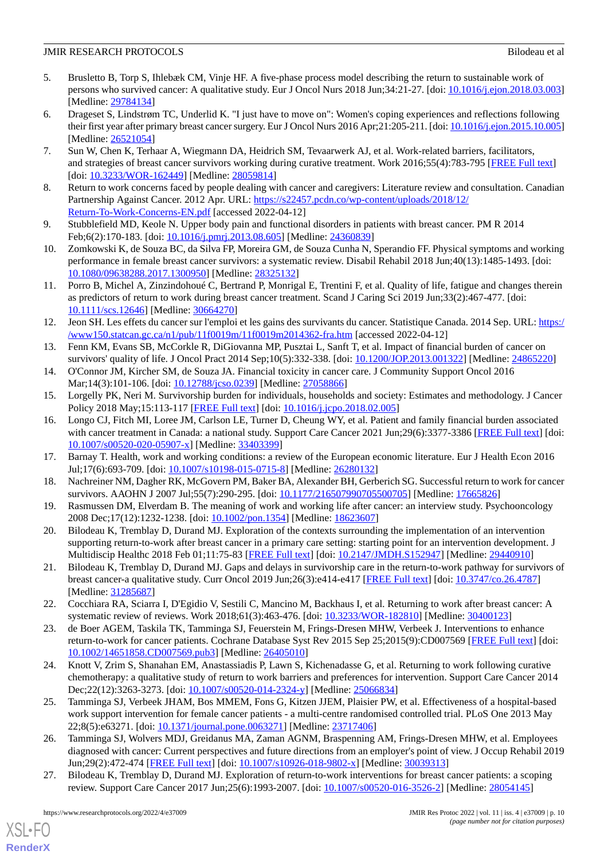- 5. Brusletto B, Torp S, Ihlebæk CM, Vinje HF. A five-phase process model describing the return to sustainable work of persons who survived cancer: A qualitative study. Eur J Oncol Nurs 2018 Jun;34:21-27. [doi: [10.1016/j.ejon.2018.03.003](http://dx.doi.org/10.1016/j.ejon.2018.03.003)] [Medline: [29784134](http://www.ncbi.nlm.nih.gov/entrez/query.fcgi?cmd=Retrieve&db=PubMed&list_uids=29784134&dopt=Abstract)]
- 6. Drageset S, Lindstrøm TC, Underlid K. "I just have to move on": Women's coping experiences and reflections following their first year after primary breast cancer surgery. Eur J Oncol Nurs 2016 Apr;21:205-211. [doi: [10.1016/j.ejon.2015.10.005\]](http://dx.doi.org/10.1016/j.ejon.2015.10.005) [Medline: [26521054](http://www.ncbi.nlm.nih.gov/entrez/query.fcgi?cmd=Retrieve&db=PubMed&list_uids=26521054&dopt=Abstract)]
- <span id="page-9-0"></span>7. Sun W, Chen K, Terhaar A, Wiegmann DA, Heidrich SM, Tevaarwerk AJ, et al. Work-related barriers, facilitators, and strategies of breast cancer survivors working during curative treatment. Work 2016;55(4):783-795 [[FREE Full text](http://europepmc.org/abstract/MED/28059814)] [doi: [10.3233/WOR-162449\]](http://dx.doi.org/10.3233/WOR-162449) [Medline: [28059814\]](http://www.ncbi.nlm.nih.gov/entrez/query.fcgi?cmd=Retrieve&db=PubMed&list_uids=28059814&dopt=Abstract)
- <span id="page-9-2"></span><span id="page-9-1"></span>8. Return to work concerns faced by people dealing with cancer and caregivers: Literature review and consultation. Canadian Partnership Against Cancer. 2012 Apr. URL: [https://s22457.pcdn.co/wp-content/uploads/2018/12/](https://s22457.pcdn.co/wp-content/uploads/2018/12/Return-To-Work-Concerns-EN.pdf) [Return-To-Work-Concerns-EN.pdf](https://s22457.pcdn.co/wp-content/uploads/2018/12/Return-To-Work-Concerns-EN.pdf) [accessed 2022-04-12]
- <span id="page-9-3"></span>9. Stubblefield MD, Keole N. Upper body pain and functional disorders in patients with breast cancer. PM R 2014 Feb;6(2):170-183. [doi: [10.1016/j.pmrj.2013.08.605](http://dx.doi.org/10.1016/j.pmrj.2013.08.605)] [Medline: [24360839](http://www.ncbi.nlm.nih.gov/entrez/query.fcgi?cmd=Retrieve&db=PubMed&list_uids=24360839&dopt=Abstract)]
- <span id="page-9-4"></span>10. Zomkowski K, de Souza BC, da Silva FP, Moreira GM, de Souza Cunha N, Sperandio FF. Physical symptoms and working performance in female breast cancer survivors: a systematic review. Disabil Rehabil 2018 Jun;40(13):1485-1493. [doi: [10.1080/09638288.2017.1300950\]](http://dx.doi.org/10.1080/09638288.2017.1300950) [Medline: [28325132\]](http://www.ncbi.nlm.nih.gov/entrez/query.fcgi?cmd=Retrieve&db=PubMed&list_uids=28325132&dopt=Abstract)
- <span id="page-9-5"></span>11. Porro B, Michel A, Zinzindohoué C, Bertrand P, Monrigal E, Trentini F, et al. Quality of life, fatigue and changes therein as predictors of return to work during breast cancer treatment. Scand J Caring Sci 2019 Jun;33(2):467-477. [doi: [10.1111/scs.12646\]](http://dx.doi.org/10.1111/scs.12646) [Medline: [30664270](http://www.ncbi.nlm.nih.gov/entrez/query.fcgi?cmd=Retrieve&db=PubMed&list_uids=30664270&dopt=Abstract)]
- 12. Jeon SH. Les effets du cancer sur l'emploi et les gains des survivants du cancer. Statistique Canada. 2014 Sep. URL: [https:/](https://www150.statcan.gc.ca/n1/pub/11f0019m/11f0019m2014362-fra.htm) [/www150.statcan.gc.ca/n1/pub/11f0019m/11f0019m2014362-fra.htm](https://www150.statcan.gc.ca/n1/pub/11f0019m/11f0019m2014362-fra.htm) [accessed 2022-04-12]
- 13. Fenn KM, Evans SB, McCorkle R, DiGiovanna MP, Pusztai L, Sanft T, et al. Impact of financial burden of cancer on survivors' quality of life. J Oncol Pract 2014 Sep;10(5):332-338. [doi: [10.1200/JOP.2013.001322\]](http://dx.doi.org/10.1200/JOP.2013.001322) [Medline: [24865220\]](http://www.ncbi.nlm.nih.gov/entrez/query.fcgi?cmd=Retrieve&db=PubMed&list_uids=24865220&dopt=Abstract)
- <span id="page-9-6"></span>14. O'Connor JM, Kircher SM, de Souza JA. Financial toxicity in cancer care. J Community Support Oncol 2016 Mar;14(3):101-106. [doi: [10.12788/jcso.0239](http://dx.doi.org/10.12788/jcso.0239)] [Medline: [27058866\]](http://www.ncbi.nlm.nih.gov/entrez/query.fcgi?cmd=Retrieve&db=PubMed&list_uids=27058866&dopt=Abstract)
- 15. Lorgelly PK, Neri M. Survivorship burden for individuals, households and society: Estimates and methodology. J Cancer Policy 2018 May;15:113-117 [[FREE Full text](https://www.sciencedirect.com/science/article/pii/S2213538317300899?via%3Dihub)] [doi: [10.1016/j.jcpo.2018.02.005\]](http://dx.doi.org/10.1016/j.jcpo.2018.02.005)
- <span id="page-9-8"></span><span id="page-9-7"></span>16. Longo CJ, Fitch MI, Loree JM, Carlson LE, Turner D, Cheung WY, et al. Patient and family financial burden associated with cancer treatment in Canada: a national study. Support Care Cancer 2021 Jun;29(6):3377-3386 [[FREE Full text](http://europepmc.org/abstract/MED/33403399)] [doi: [10.1007/s00520-020-05907-x\]](http://dx.doi.org/10.1007/s00520-020-05907-x) [Medline: [33403399\]](http://www.ncbi.nlm.nih.gov/entrez/query.fcgi?cmd=Retrieve&db=PubMed&list_uids=33403399&dopt=Abstract)
- <span id="page-9-9"></span>17. Barnay T. Health, work and working conditions: a review of the European economic literature. Eur J Health Econ 2016 Jul;17(6):693-709. [doi: [10.1007/s10198-015-0715-8](http://dx.doi.org/10.1007/s10198-015-0715-8)] [Medline: [26280132](http://www.ncbi.nlm.nih.gov/entrez/query.fcgi?cmd=Retrieve&db=PubMed&list_uids=26280132&dopt=Abstract)]
- <span id="page-9-10"></span>18. Nachreiner NM, Dagher RK, McGovern PM, Baker BA, Alexander BH, Gerberich SG. Successful return to work for cancer survivors. AAOHN J 2007 Jul;55(7):290-295. [doi: [10.1177/216507990705500705](http://dx.doi.org/10.1177/216507990705500705)] [Medline: [17665826\]](http://www.ncbi.nlm.nih.gov/entrez/query.fcgi?cmd=Retrieve&db=PubMed&list_uids=17665826&dopt=Abstract)
- <span id="page-9-17"></span>19. Rasmussen DM, Elverdam B. The meaning of work and working life after cancer: an interview study. Psychooncology 2008 Dec;17(12):1232-1238. [doi: [10.1002/pon.1354\]](http://dx.doi.org/10.1002/pon.1354) [Medline: [18623607\]](http://www.ncbi.nlm.nih.gov/entrez/query.fcgi?cmd=Retrieve&db=PubMed&list_uids=18623607&dopt=Abstract)
- <span id="page-9-11"></span>20. Bilodeau K, Tremblay D, Durand MJ. Exploration of the contexts surrounding the implementation of an intervention supporting return-to-work after breast cancer in a primary care setting: starting point for an intervention development. J Multidiscip Healthc 2018 Feb 01;11:75-83 [[FREE Full text\]](https://dx.doi.org/10.2147/JMDH.S152947) [doi: [10.2147/JMDH.S152947\]](http://dx.doi.org/10.2147/JMDH.S152947) [Medline: [29440910](http://www.ncbi.nlm.nih.gov/entrez/query.fcgi?cmd=Retrieve&db=PubMed&list_uids=29440910&dopt=Abstract)]
- <span id="page-9-12"></span>21. Bilodeau K, Tremblay D, Durand MJ. Gaps and delays in survivorship care in the return-to-work pathway for survivors of breast cancer-a qualitative study. Curr Oncol 2019 Jun;26(3):e414-e417 [[FREE Full text](https://www.mdpi.com/resolver?pii=conc-26-e414)] [doi: [10.3747/co.26.4787](http://dx.doi.org/10.3747/co.26.4787)] [Medline: [31285687](http://www.ncbi.nlm.nih.gov/entrez/query.fcgi?cmd=Retrieve&db=PubMed&list_uids=31285687&dopt=Abstract)]
- <span id="page-9-13"></span>22. Cocchiara RA, Sciarra I, D'Egidio V, Sestili C, Mancino M, Backhaus I, et al. Returning to work after breast cancer: A systematic review of reviews. Work 2018;61(3):463-476. [doi: [10.3233/WOR-182810](http://dx.doi.org/10.3233/WOR-182810)] [Medline: [30400123\]](http://www.ncbi.nlm.nih.gov/entrez/query.fcgi?cmd=Retrieve&db=PubMed&list_uids=30400123&dopt=Abstract)
- <span id="page-9-14"></span>23. de Boer AGEM, Taskila TK, Tamminga SJ, Feuerstein M, Frings-Dresen MHW, Verbeek J. Interventions to enhance return-to-work for cancer patients. Cochrane Database Syst Rev 2015 Sep 25;2015(9):CD007569 [[FREE Full text](http://europepmc.org/abstract/MED/26405010)] [doi: [10.1002/14651858.CD007569.pub3\]](http://dx.doi.org/10.1002/14651858.CD007569.pub3) [Medline: [26405010](http://www.ncbi.nlm.nih.gov/entrez/query.fcgi?cmd=Retrieve&db=PubMed&list_uids=26405010&dopt=Abstract)]
- <span id="page-9-15"></span>24. Knott V, Zrim S, Shanahan EM, Anastassiadis P, Lawn S, Kichenadasse G, et al. Returning to work following curative chemotherapy: a qualitative study of return to work barriers and preferences for intervention. Support Care Cancer 2014 Dec;22(12):3263-3273. [doi: [10.1007/s00520-014-2324-y\]](http://dx.doi.org/10.1007/s00520-014-2324-y) [Medline: [25066834](http://www.ncbi.nlm.nih.gov/entrez/query.fcgi?cmd=Retrieve&db=PubMed&list_uids=25066834&dopt=Abstract)]
- <span id="page-9-16"></span>25. Tamminga SJ, Verbeek JHAM, Bos MMEM, Fons G, Kitzen JJEM, Plaisier PW, et al. Effectiveness of a hospital-based work support intervention for female cancer patients - a multi-centre randomised controlled trial. PLoS One 2013 May 22;8(5):e63271. [doi: [10.1371/journal.pone.0063271\]](http://dx.doi.org/10.1371/journal.pone.0063271) [Medline: [23717406](http://www.ncbi.nlm.nih.gov/entrez/query.fcgi?cmd=Retrieve&db=PubMed&list_uids=23717406&dopt=Abstract)]
- 26. Tamminga SJ, Wolvers MDJ, Greidanus MA, Zaman AGNM, Braspenning AM, Frings-Dresen MHW, et al. Employees diagnosed with cancer: Current perspectives and future directions from an employer's point of view. J Occup Rehabil 2019 Jun;29(2):472-474 [[FREE Full text](http://europepmc.org/abstract/MED/30039313)] [doi: [10.1007/s10926-018-9802-x\]](http://dx.doi.org/10.1007/s10926-018-9802-x) [Medline: [30039313](http://www.ncbi.nlm.nih.gov/entrez/query.fcgi?cmd=Retrieve&db=PubMed&list_uids=30039313&dopt=Abstract)]
- 27. Bilodeau K, Tremblay D, Durand MJ. Exploration of return-to-work interventions for breast cancer patients: a scoping review. Support Care Cancer 2017 Jun;25(6):1993-2007. [doi: [10.1007/s00520-016-3526-2](http://dx.doi.org/10.1007/s00520-016-3526-2)] [Medline: [28054145](http://www.ncbi.nlm.nih.gov/entrez/query.fcgi?cmd=Retrieve&db=PubMed&list_uids=28054145&dopt=Abstract)]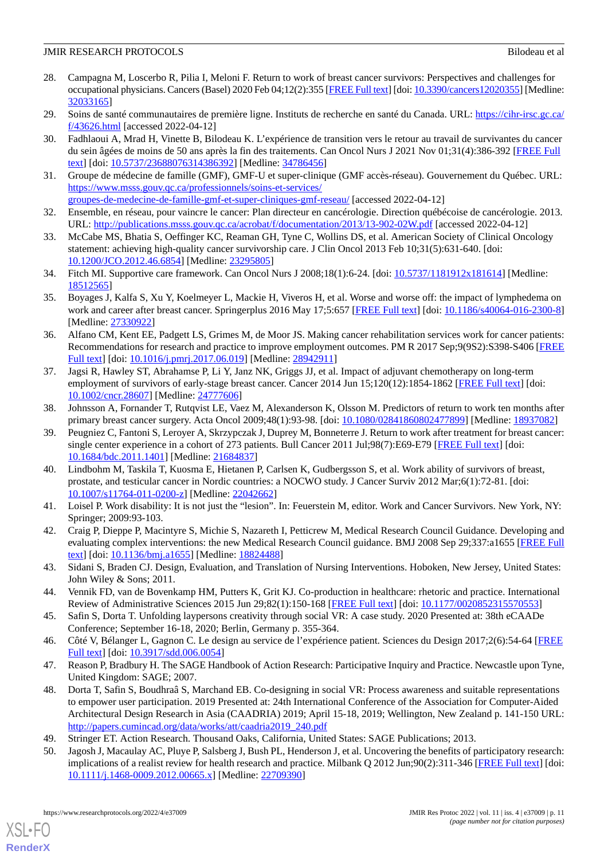- <span id="page-10-0"></span>28. Campagna M, Loscerbo R, Pilia I, Meloni F. Return to work of breast cancer survivors: Perspectives and challenges for occupational physicians. Cancers (Basel) 2020 Feb 04;12(2):355 [\[FREE Full text](https://www.mdpi.com/resolver?pii=cancers12020355)] [doi: [10.3390/cancers12020355\]](http://dx.doi.org/10.3390/cancers12020355) [Medline: [32033165](http://www.ncbi.nlm.nih.gov/entrez/query.fcgi?cmd=Retrieve&db=PubMed&list_uids=32033165&dopt=Abstract)]
- <span id="page-10-2"></span><span id="page-10-1"></span>29. Soins de santé communautaires de première ligne. Instituts de recherche en santé du Canada. URL: [https://cihr-irsc.gc.ca/](https://cihr-irsc.gc.ca/f/43626.html) [f/43626.html](https://cihr-irsc.gc.ca/f/43626.html) [accessed 2022-04-12]
- 30. Fadhlaoui A, Mrad H, Vinette B, Bilodeau K. L'expérience de transition vers le retour au travail de survivantes du cancer du sein âgées de moins de 50 ans après la fin des traitements. Can Oncol Nurs J 2021 Nov 01;31(4):386-392 [[FREE Full](http://europepmc.org/abstract/MED/34786456) [text](http://europepmc.org/abstract/MED/34786456)] [doi: [10.5737/23688076314386392\]](http://dx.doi.org/10.5737/23688076314386392) [Medline: [34786456\]](http://www.ncbi.nlm.nih.gov/entrez/query.fcgi?cmd=Retrieve&db=PubMed&list_uids=34786456&dopt=Abstract)
- <span id="page-10-3"></span>31. Groupe de médecine de famille (GMF), GMF-U et super-clinique (GMF accès-réseau). Gouvernement du Québec. URL: [https://www.msss.gouv.qc.ca/professionnels/soins-et-services/](https://www.msss.gouv.qc.ca/professionnels/soins-et-services/groupes-de-medecine-de-famille-gmf-et-super-cliniques-gmf-reseau/) [groupes-de-medecine-de-famille-gmf-et-super-cliniques-gmf-reseau/](https://www.msss.gouv.qc.ca/professionnels/soins-et-services/groupes-de-medecine-de-famille-gmf-et-super-cliniques-gmf-reseau/) [accessed 2022-04-12]
- <span id="page-10-5"></span><span id="page-10-4"></span>32. Ensemble, en réseau, pour vaincre le cancer: Plan directeur en cancérologie. Direction québécoise de cancérologie. 2013. URL: <http://publications.msss.gouv.qc.ca/acrobat/f/documentation/2013/13-902-02W.pdf> [accessed 2022-04-12]
- <span id="page-10-6"></span>33. McCabe MS, Bhatia S, Oeffinger KC, Reaman GH, Tyne C, Wollins DS, et al. American Society of Clinical Oncology statement: achieving high-quality cancer survivorship care. J Clin Oncol 2013 Feb 10;31(5):631-640. [doi: [10.1200/JCO.2012.46.6854](http://dx.doi.org/10.1200/JCO.2012.46.6854)] [Medline: [23295805\]](http://www.ncbi.nlm.nih.gov/entrez/query.fcgi?cmd=Retrieve&db=PubMed&list_uids=23295805&dopt=Abstract)
- <span id="page-10-7"></span>34. Fitch MI. Supportive care framework. Can Oncol Nurs J 2008;18(1):6-24. [doi: [10.5737/1181912x181614\]](http://dx.doi.org/10.5737/1181912x181614) [Medline: [18512565](http://www.ncbi.nlm.nih.gov/entrez/query.fcgi?cmd=Retrieve&db=PubMed&list_uids=18512565&dopt=Abstract)]
- <span id="page-10-8"></span>35. Boyages J, Kalfa S, Xu Y, Koelmeyer L, Mackie H, Viveros H, et al. Worse and worse off: the impact of lymphedema on work and career after breast cancer. Springerplus 2016 May 17;5:657 [\[FREE Full text](http://europepmc.org/abstract/MED/27330922)] [doi: [10.1186/s40064-016-2300-8](http://dx.doi.org/10.1186/s40064-016-2300-8)] [Medline: [27330922](http://www.ncbi.nlm.nih.gov/entrez/query.fcgi?cmd=Retrieve&db=PubMed&list_uids=27330922&dopt=Abstract)]
- <span id="page-10-9"></span>36. Alfano CM, Kent EE, Padgett LS, Grimes M, de Moor JS. Making cancer rehabilitation services work for cancer patients: Recommendations for research and practice to improve employment outcomes. PM R 2017 Sep;9(9S2):S398-S406 [\[FREE](http://europepmc.org/abstract/MED/28942911) [Full text\]](http://europepmc.org/abstract/MED/28942911) [doi: [10.1016/j.pmrj.2017.06.019](http://dx.doi.org/10.1016/j.pmrj.2017.06.019)] [Medline: [28942911\]](http://www.ncbi.nlm.nih.gov/entrez/query.fcgi?cmd=Retrieve&db=PubMed&list_uids=28942911&dopt=Abstract)
- 37. Jagsi R, Hawley ST, Abrahamse P, Li Y, Janz NK, Griggs JJ, et al. Impact of adjuvant chemotherapy on long-term employment of survivors of early-stage breast cancer. Cancer 2014 Jun 15;120(12):1854-1862 [\[FREE Full text\]](https://doi.org/10.1002/cncr.28607) [doi: [10.1002/cncr.28607\]](http://dx.doi.org/10.1002/cncr.28607) [Medline: [24777606\]](http://www.ncbi.nlm.nih.gov/entrez/query.fcgi?cmd=Retrieve&db=PubMed&list_uids=24777606&dopt=Abstract)
- 38. Johnsson A, Fornander T, Rutqvist LE, Vaez M, Alexanderson K, Olsson M. Predictors of return to work ten months after primary breast cancer surgery. Acta Oncol 2009;48(1):93-98. [doi: [10.1080/02841860802477899](http://dx.doi.org/10.1080/02841860802477899)] [Medline: [18937082](http://www.ncbi.nlm.nih.gov/entrez/query.fcgi?cmd=Retrieve&db=PubMed&list_uids=18937082&dopt=Abstract)]
- <span id="page-10-10"></span>39. Peugniez C, Fantoni S, Leroyer A, Skrzypczak J, Duprey M, Bonneterre J. Return to work after treatment for breast cancer: single center experience in a cohort of 273 patients. Bull Cancer 2011 Jul;98(7):E69-E79 [\[FREE Full text\]](http://www.jle.com/medline.md?issn=0007-4551&vol=98&iss=7&page=E69) [doi: [10.1684/bdc.2011.1401](http://dx.doi.org/10.1684/bdc.2011.1401)] [Medline: [21684837](http://www.ncbi.nlm.nih.gov/entrez/query.fcgi?cmd=Retrieve&db=PubMed&list_uids=21684837&dopt=Abstract)]
- <span id="page-10-12"></span><span id="page-10-11"></span>40. Lindbohm M, Taskila T, Kuosma E, Hietanen P, Carlsen K, Gudbergsson S, et al. Work ability of survivors of breast, prostate, and testicular cancer in Nordic countries: a NOCWO study. J Cancer Surviv 2012 Mar;6(1):72-81. [doi: [10.1007/s11764-011-0200-z](http://dx.doi.org/10.1007/s11764-011-0200-z)] [Medline: [22042662\]](http://www.ncbi.nlm.nih.gov/entrez/query.fcgi?cmd=Retrieve&db=PubMed&list_uids=22042662&dopt=Abstract)
- <span id="page-10-13"></span>41. Loisel P. Work disability: It is not just the "lesion". In: Feuerstein M, editor. Work and Cancer Survivors. New York, NY: Springer; 2009:93-103.
- <span id="page-10-14"></span>42. Craig P, Dieppe P, Macintyre S, Michie S, Nazareth I, Petticrew M, Medical Research Council Guidance. Developing and evaluating complex interventions: the new Medical Research Council guidance. BMJ 2008 Sep 29;337:a1655 [[FREE Full](http://europepmc.org/abstract/MED/18824488) [text](http://europepmc.org/abstract/MED/18824488)] [doi: [10.1136/bmj.a1655](http://dx.doi.org/10.1136/bmj.a1655)] [Medline: [18824488](http://www.ncbi.nlm.nih.gov/entrez/query.fcgi?cmd=Retrieve&db=PubMed&list_uids=18824488&dopt=Abstract)]
- <span id="page-10-16"></span><span id="page-10-15"></span>43. Sidani S, Braden CJ. Design, Evaluation, and Translation of Nursing Interventions. Hoboken, New Jersey, United States: John Wiley & Sons; 2011.
- <span id="page-10-17"></span>44. Vennik FD, van de Bovenkamp HM, Putters K, Grit KJ. Co-production in healthcare: rhetoric and practice. International Review of Administrative Sciences 2015 Jun 29;82(1):150-168 [[FREE Full text](https://journals.sagepub.com/doi/10.1177/0020852315570553)] [doi: [10.1177/0020852315570553\]](http://dx.doi.org/10.1177/0020852315570553)
- <span id="page-10-18"></span>45. Safin S, Dorta T. Unfolding laypersons creativity through social VR: A case study. 2020 Presented at: 38th eCAADe Conference; September 16-18, 2020; Berlin, Germany p. 355-364.
- 46. Côté V, Bélanger L, Gagnon C. Le design au service de l'expérience patient. Sciences du Design 2017;2(6):54-64 [[FREE](https://www.cairn.info/revue-sciences-du-design-2017-2-page-54.htm) [Full text\]](https://www.cairn.info/revue-sciences-du-design-2017-2-page-54.htm) [doi: [10.3917/sdd.006.0054](http://dx.doi.org/10.3917/sdd.006.0054)]
- <span id="page-10-20"></span><span id="page-10-19"></span>47. Reason P, Bradbury H. The SAGE Handbook of Action Research: Participative Inquiry and Practice. Newcastle upon Tyne, United Kingdom: SAGE; 2007.
- 48. Dorta T, Safin S, Boudhraâ S, Marchand EB. Co-designing in social VR: Process awareness and suitable representations to empower user participation. 2019 Presented at: 24th International Conference of the Association for Computer-Aided Architectural Design Research in Asia (CAADRIA) 2019; April 15-18, 2019; Wellington, New Zealand p. 141-150 URL: [http://papers.cumincad.org/data/works/att/caadria2019\\_240.pdf](http://papers.cumincad.org/data/works/att/caadria2019_240.pdf)
- 49. Stringer ET. Action Research. Thousand Oaks, California, United States: SAGE Publications; 2013.
- 50. Jagosh J, Macaulay AC, Pluye P, Salsberg J, Bush PL, Henderson J, et al. Uncovering the benefits of participatory research: implications of a realist review for health research and practice. Milbank Q 2012 Jun;90(2):311-346 [\[FREE Full text](http://europepmc.org/abstract/MED/22709390)] [doi: [10.1111/j.1468-0009.2012.00665.x\]](http://dx.doi.org/10.1111/j.1468-0009.2012.00665.x) [Medline: [22709390\]](http://www.ncbi.nlm.nih.gov/entrez/query.fcgi?cmd=Retrieve&db=PubMed&list_uids=22709390&dopt=Abstract)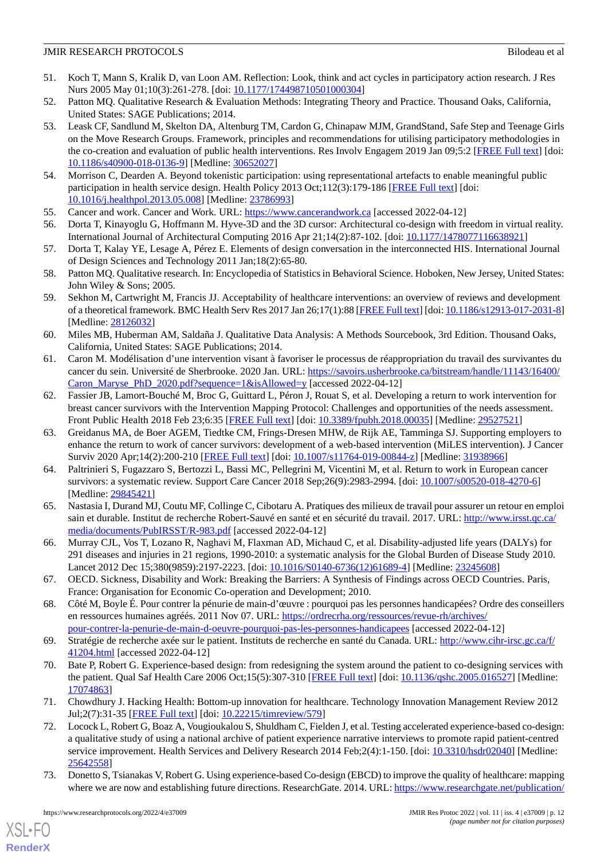- <span id="page-11-0"></span>51. Koch T, Mann S, Kralik D, van Loon AM. Reflection: Look, think and act cycles in participatory action research. J Res Nurs 2005 May 01;10(3):261-278. [doi: [10.1177/174498710501000304](http://dx.doi.org/10.1177/174498710501000304)]
- <span id="page-11-2"></span><span id="page-11-1"></span>52. Patton MQ. Qualitative Research & Evaluation Methods: Integrating Theory and Practice. Thousand Oaks, California, United States: SAGE Publications; 2014.
- 53. Leask CF, Sandlund M, Skelton DA, Altenburg TM, Cardon G, Chinapaw MJM, GrandStand, Safe Step and Teenage Girls on the Move Research Groups. Framework, principles and recommendations for utilising participatory methodologies in the co-creation and evaluation of public health interventions. Res Involv Engagem 2019 Jan 09;5:2 [\[FREE Full text\]](https://researchinvolvement.biomedcentral.com/articles/10.1186/s40900-018-0136-9) [doi: [10.1186/s40900-018-0136-9\]](http://dx.doi.org/10.1186/s40900-018-0136-9) [Medline: [30652027](http://www.ncbi.nlm.nih.gov/entrez/query.fcgi?cmd=Retrieve&db=PubMed&list_uids=30652027&dopt=Abstract)]
- <span id="page-11-4"></span><span id="page-11-3"></span>54. Morrison C, Dearden A. Beyond tokenistic participation: using representational artefacts to enable meaningful public participation in health service design. Health Policy 2013 Oct;112(3):179-186 [\[FREE Full text](https://linkinghub.elsevier.com/retrieve/pii/S0168-8510(13)00133-4)] [doi: [10.1016/j.healthpol.2013.05.008\]](http://dx.doi.org/10.1016/j.healthpol.2013.05.008) [Medline: [23786993\]](http://www.ncbi.nlm.nih.gov/entrez/query.fcgi?cmd=Retrieve&db=PubMed&list_uids=23786993&dopt=Abstract)
- <span id="page-11-5"></span>55. Cancer and work. Cancer and Work. URL: <https://www.cancerandwork.ca> [accessed 2022-04-12]
- <span id="page-11-6"></span>56. Dorta T, Kinayoglu G, Hoffmann M. Hyve-3D and the 3D cursor: Architectural co-design with freedom in virtual reality. International Journal of Architectural Computing 2016 Apr 21;14(2):87-102. [doi: [10.1177/1478077116638921](http://dx.doi.org/10.1177/1478077116638921)]
- <span id="page-11-7"></span>57. Dorta T, Kalay YE, Lesage A, Pérez E. Elements of design conversation in the interconnected HIS. International Journal of Design Sciences and Technology 2011 Jan;18(2):65-80.
- <span id="page-11-8"></span>58. Patton MQ. Qualitative research. In: Encyclopedia of Statistics in Behavioral Science. Hoboken, New Jersey, United States: John Wiley & Sons; 2005.
- <span id="page-11-9"></span>59. Sekhon M, Cartwright M, Francis JJ. Acceptability of healthcare interventions: an overview of reviews and development of a theoretical framework. BMC Health Serv Res 2017 Jan 26;17(1):88 [\[FREE Full text\]](https://bmchealthservres.biomedcentral.com/articles/10.1186/s12913-017-2031-8) [doi: [10.1186/s12913-017-2031-8\]](http://dx.doi.org/10.1186/s12913-017-2031-8) [Medline: [28126032](http://www.ncbi.nlm.nih.gov/entrez/query.fcgi?cmd=Retrieve&db=PubMed&list_uids=28126032&dopt=Abstract)]
- <span id="page-11-10"></span>60. Miles MB, Huberman AM, Saldaña J. Qualitative Data Analysis: A Methods Sourcebook, 3rd Edition. Thousand Oaks, California, United States: SAGE Publications; 2014.
- <span id="page-11-11"></span>61. Caron M. Modélisation d'une intervention visant à favoriser le processus de réappropriation du travail des survivantes du cancer du sein. Université de Sherbrooke. 2020 Jan. URL: [https://savoirs.usherbrooke.ca/bitstream/handle/11143/16400/](https://savoirs.usherbrooke.ca/bitstream/handle/11143/16400/Caron_Maryse_PhD_2020.pdf?sequence=1&isAllowed=y) [Caron\\_Maryse\\_PhD\\_2020.pdf?sequence=1&isAllowed=y](https://savoirs.usherbrooke.ca/bitstream/handle/11143/16400/Caron_Maryse_PhD_2020.pdf?sequence=1&isAllowed=y) [accessed 2022-04-12]
- <span id="page-11-12"></span>62. Fassier JB, Lamort-Bouché M, Broc G, Guittard L, Péron J, Rouat S, et al. Developing a return to work intervention for breast cancer survivors with the Intervention Mapping Protocol: Challenges and opportunities of the needs assessment. Front Public Health 2018 Feb 23;6:35 [\[FREE Full text\]](https://doi.org/10.3389/fpubh.2018.00035) [doi: [10.3389/fpubh.2018.00035](http://dx.doi.org/10.3389/fpubh.2018.00035)] [Medline: [29527521](http://www.ncbi.nlm.nih.gov/entrez/query.fcgi?cmd=Retrieve&db=PubMed&list_uids=29527521&dopt=Abstract)]
- <span id="page-11-13"></span>63. Greidanus MA, de Boer AGEM, Tiedtke CM, Frings-Dresen MHW, de Rijk AE, Tamminga SJ. Supporting employers to enhance the return to work of cancer survivors: development of a web-based intervention (MiLES intervention). J Cancer Surviv 2020 Apr;14(2):200-210 [[FREE Full text](http://europepmc.org/abstract/MED/31938966)] [doi: [10.1007/s11764-019-00844-z](http://dx.doi.org/10.1007/s11764-019-00844-z)] [Medline: [31938966\]](http://www.ncbi.nlm.nih.gov/entrez/query.fcgi?cmd=Retrieve&db=PubMed&list_uids=31938966&dopt=Abstract)
- <span id="page-11-14"></span>64. Paltrinieri S, Fugazzaro S, Bertozzi L, Bassi MC, Pellegrini M, Vicentini M, et al. Return to work in European cancer survivors: a systematic review. Support Care Cancer 2018 Sep;26(9):2983-2994. [doi: [10.1007/s00520-018-4270-6](http://dx.doi.org/10.1007/s00520-018-4270-6)] [Medline: [29845421](http://www.ncbi.nlm.nih.gov/entrez/query.fcgi?cmd=Retrieve&db=PubMed&list_uids=29845421&dopt=Abstract)]
- <span id="page-11-15"></span>65. Nastasia I, Durand MJ, Coutu MF, Collinge C, Cibotaru A. Pratiques des milieux de travail pour assurer un retour en emploi sain et durable. Institut de recherche Robert-Sauvé en santé et en sécurité du travail. 2017. URL: [http://www.irsst.qc.ca/](http://www.irsst.qc.ca/media/documents/PubIRSST/R-983.pdf) [media/documents/PubIRSST/R-983.pdf](http://www.irsst.qc.ca/media/documents/PubIRSST/R-983.pdf) [accessed 2022-04-12]
- <span id="page-11-16"></span>66. Murray CJL, Vos T, Lozano R, Naghavi M, Flaxman AD, Michaud C, et al. Disability-adjusted life years (DALYs) for 291 diseases and injuries in 21 regions, 1990-2010: a systematic analysis for the Global Burden of Disease Study 2010. Lancet 2012 Dec 15;380(9859):2197-2223. [doi: [10.1016/S0140-6736\(12\)61689-4](http://dx.doi.org/10.1016/S0140-6736(12)61689-4)] [Medline: [23245608](http://www.ncbi.nlm.nih.gov/entrez/query.fcgi?cmd=Retrieve&db=PubMed&list_uids=23245608&dopt=Abstract)]
- <span id="page-11-17"></span>67. OECD. Sickness, Disability and Work: Breaking the Barriers: A Synthesis of Findings across OECD Countries. Paris, France: Organisation for Economic Co-operation and Development; 2010.
- <span id="page-11-18"></span>68. Côté M, Boyle É. Pour contrer la pénurie de main-d'œuvre : pourquoi pas les personnes handicapées? Ordre des conseillers en ressources humaines agréés. 2011 Nov 07. URL: [https://ordrecrha.org/ressources/revue-rh/archives/](https://ordrecrha.org/ressources/revue-rh/archives/pour-contrer-la-penurie-de-main-d-oeuvre-pourquoi-pas-les-personnes-handicapees) [pour-contrer-la-penurie-de-main-d-oeuvre-pourquoi-pas-les-personnes-handicapees](https://ordrecrha.org/ressources/revue-rh/archives/pour-contrer-la-penurie-de-main-d-oeuvre-pourquoi-pas-les-personnes-handicapees) [accessed 2022-04-12]
- <span id="page-11-19"></span>69. Stratégie de recherche axée sur le patient. Instituts de recherche en santé du Canada. URL: [http://www.cihr-irsc.gc.ca/f/](http://www.cihr-irsc.gc.ca/f/41204.html) [41204.html](http://www.cihr-irsc.gc.ca/f/41204.html) [accessed 2022-04-12]
- <span id="page-11-20"></span>70. Bate P, Robert G. Experience-based design: from redesigning the system around the patient to co-designing services with the patient. Qual Saf Health Care 2006 Oct;15(5):307-310 [\[FREE Full text\]](http://europepmc.org/abstract/MED/17074863) [doi: [10.1136/qshc.2005.016527](http://dx.doi.org/10.1136/qshc.2005.016527)] [Medline: [17074863](http://www.ncbi.nlm.nih.gov/entrez/query.fcgi?cmd=Retrieve&db=PubMed&list_uids=17074863&dopt=Abstract)]
- <span id="page-11-21"></span>71. Chowdhury J. Hacking Health: Bottom-up innovation for healthcare. Technology Innovation Management Review 2012 Jul;2(7):31-35 [[FREE Full text\]](https://timreview.ca/article/579) [doi: [10.22215/timreview/579](http://dx.doi.org/10.22215/timreview/579)]
- 72. Locock L, Robert G, Boaz A, Vougioukalou S, Shuldham C, Fielden J, et al. Testing accelerated experience-based co-design: a qualitative study of using a national archive of patient experience narrative interviews to promote rapid patient-centred service improvement. Health Services and Delivery Research 2014 Feb;2(4):1-150. [doi: [10.3310/hsdr02040](http://dx.doi.org/10.3310/hsdr02040)] [Medline: [25642558](http://www.ncbi.nlm.nih.gov/entrez/query.fcgi?cmd=Retrieve&db=PubMed&list_uids=25642558&dopt=Abstract)]
- 73. Donetto S, Tsianakas V, Robert G. Using experience-based Co-design (EBCD) to improve the quality of healthcare: mapping where we are now and establishing future directions. ResearchGate. 2014. URL: [https://www.researchgate.net/publication/](https://www.researchgate.net/publication/262198403_Using_Experience-based_Co-design_EBCD_to_improve_the_quality_of_healthcare_mapping_where_we_are_now_and_establishing_future_directions)